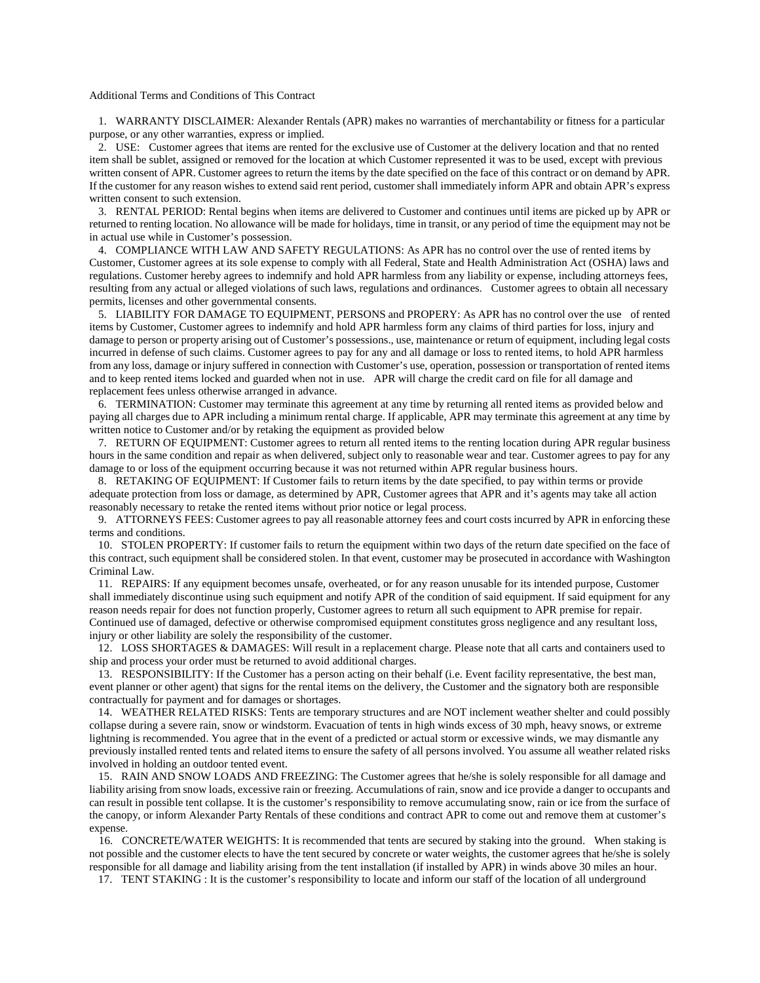## Additional Terms and Conditions of This Contract

 1. WARRANTY DISCLAIMER: Alexander Rentals (APR) makes no warranties of merchantability or fitness for a particular purpose, or any other warranties, express or implied.

 2. USE: Customer agrees that items are rented for the exclusive use of Customer at the delivery location and that no rented item shall be sublet, assigned or removed for the location at which Customer represented it was to be used, except with previous written consent of APR. Customer agrees to return the items by the date specified on the face of this contract or on demand by APR. If the customer for any reason wishes to extend said rent period, customer shall immediately inform APR and obtain APR's express written consent to such extension.

 3. RENTAL PERIOD: Rental begins when items are delivered to Customer and continues until items are picked up by APR or returned to renting location. No allowance will be made for holidays, time in transit, or any period of time the equipment may not be in actual use while in Customer's possession.

 4. COMPLIANCE WITH LAW AND SAFETY REGULATIONS: As APR has no control over the use of rented items by Customer, Customer agrees at its sole expense to comply with all Federal, State and Health Administration Act (OSHA) laws and regulations. Customer hereby agrees to indemnify and hold APR harmless from any liability or expense, including attorneys fees, resulting from any actual or alleged violations of such laws, regulations and ordinances. Customer agrees to obtain all necessary permits, licenses and other governmental consents.

 5. LIABILITY FOR DAMAGE TO EQUIPMENT, PERSONS and PROPERY: As APR has no control over the use of rented items by Customer, Customer agrees to indemnify and hold APR harmless form any claims of third parties for loss, injury and damage to person or property arising out of Customer's possessions., use, maintenance or return of equipment, including legal costs incurred in defense of such claims. Customer agrees to pay for any and all damage or loss to rented items, to hold APR harmless from any loss, damage or injury suffered in connection with Customer's use, operation, possession or transportation of rented items and to keep rented items locked and guarded when not in use. APR will charge the credit card on file for all damage and replacement fees unless otherwise arranged in advance.

 6. TERMINATION: Customer may terminate this agreement at any time by returning all rented items as provided below and paying all charges due to APR including a minimum rental charge. If applicable, APR may terminate this agreement at any time by written notice to Customer and/or by retaking the equipment as provided below

 7. RETURN OF EQUIPMENT: Customer agrees to return all rented items to the renting location during APR regular business hours in the same condition and repair as when delivered, subject only to reasonable wear and tear. Customer agrees to pay for any damage to or loss of the equipment occurring because it was not returned within APR regular business hours.

 8. RETAKING OF EQUIPMENT: If Customer fails to return items by the date specified, to pay within terms or provide adequate protection from loss or damage, as determined by APR, Customer agrees that APR and it's agents may take all action reasonably necessary to retake the rented items without prior notice or legal process.

 9. ATTORNEYS FEES: Customer agrees to pay all reasonable attorney fees and court costs incurred by APR in enforcing these terms and conditions.

 10. STOLEN PROPERTY: If customer fails to return the equipment within two days of the return date specified on the face of this contract, such equipment shall be considered stolen. In that event, customer may be prosecuted in accordance with Washington Criminal Law.

 11. REPAIRS: If any equipment becomes unsafe, overheated, or for any reason unusable for its intended purpose, Customer shall immediately discontinue using such equipment and notify APR of the condition of said equipment. If said equipment for any reason needs repair for does not function properly, Customer agrees to return all such equipment to APR premise for repair. Continued use of damaged, defective or otherwise compromised equipment constitutes gross negligence and any resultant loss, injury or other liability are solely the responsibility of the customer.

 12. LOSS SHORTAGES & DAMAGES: Will result in a replacement charge. Please note that all carts and containers used to ship and process your order must be returned to avoid additional charges.

 13. RESPONSIBILITY: If the Customer has a person acting on their behalf (i.e. Event facility representative, the best man, event planner or other agent) that signs for the rental items on the delivery, the Customer and the signatory both are responsible contractually for payment and for damages or shortages.

 14. WEATHER RELATED RISKS: Tents are temporary structures and are NOT inclement weather shelter and could possibly collapse during a severe rain, snow or windstorm. Evacuation of tents in high winds excess of 30 mph, heavy snows, or extreme lightning is recommended. You agree that in the event of a predicted or actual storm or excessive winds, we may dismantle any previously installed rented tents and related items to ensure the safety of all persons involved. You assume all weather related risks involved in holding an outdoor tented event.

 15. RAIN AND SNOW LOADS AND FREEZING: The Customer agrees that he/she is solely responsible for all damage and liability arising from snow loads, excessive rain or freezing. Accumulations of rain, snow and ice provide a danger to occupants and can result in possible tent collapse. It is the customer's responsibility to remove accumulating snow, rain or ice from the surface of the canopy, or inform Alexander Party Rentals of these conditions and contract APR to come out and remove them at customer's expense.

16. CONCRETE/WATER WEIGHTS: It is recommended that tents are secured by staking into the ground. When staking is not possible and the customer elects to have the tent secured by concrete or water weights, the customer agrees that he/she is solely responsible for all damage and liability arising from the tent installation (if installed by APR) in winds above 30 miles an hour.

17. TENT STAKING : It is the customer's responsibility to locate and inform our staff of the location of all underground